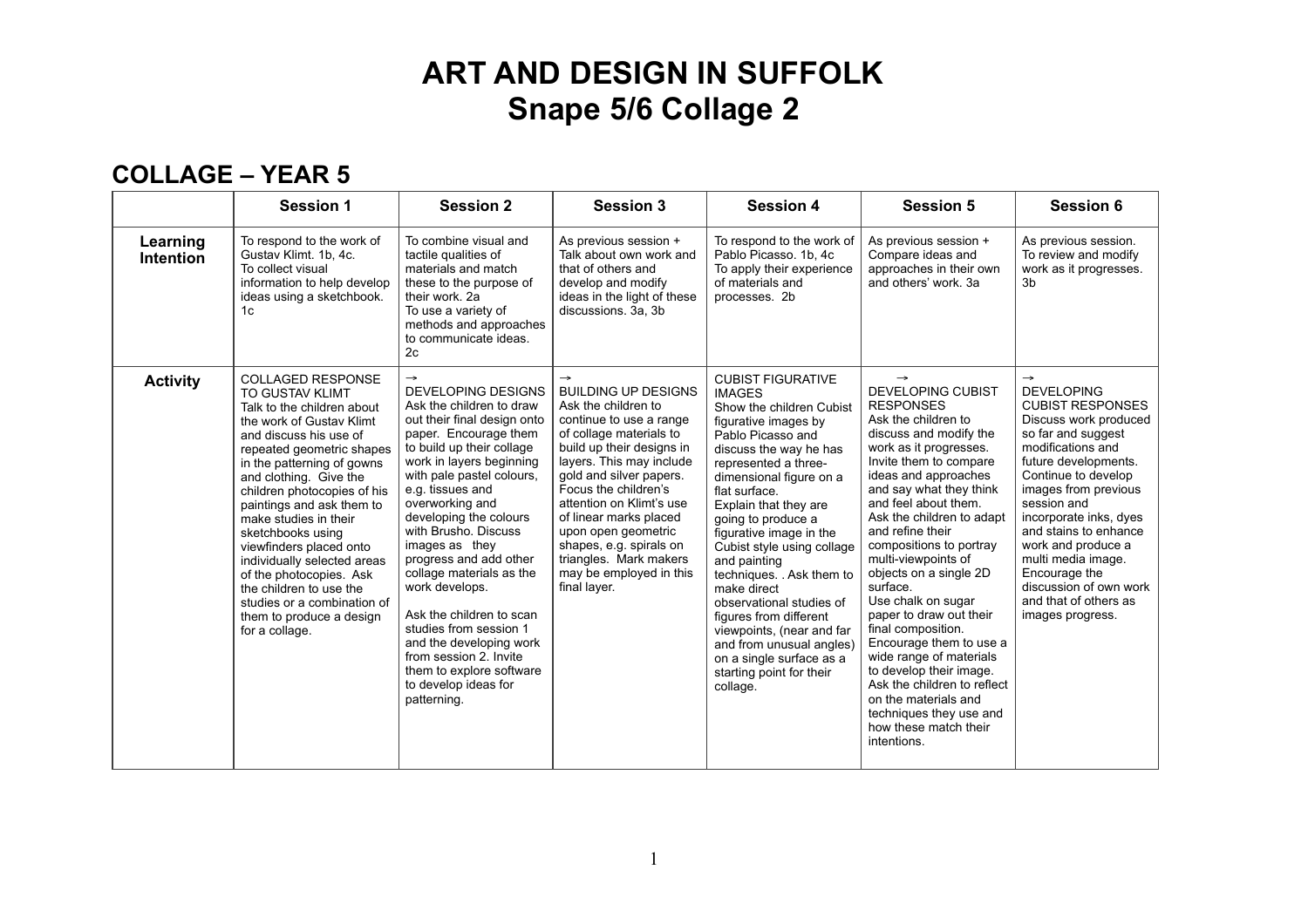#### **COLLAGE – YEAR 5**

|                              | <b>Session 1</b>                                                                                                                                                                                                                                                                                                                                                                                                                                                                                                                   | <b>Session 2</b>                                                                                                                                                                                                                                                                                                                                                                                                                                                                                                                                                                      | <b>Session 3</b>                                                                                                                                                                                                                                                                                                                                                                                                  | <b>Session 4</b>                                                                                                                                                                                                                                                                                                                                                                                                                                                                                                                                                        | <b>Session 5</b>                                                                                                                                                                                                                                                                                                                                                                                                                                                                                                                                                                                                                                                         | <b>Session 6</b>                                                                                                                                                                                                                                                                                                                                                                                               |
|------------------------------|------------------------------------------------------------------------------------------------------------------------------------------------------------------------------------------------------------------------------------------------------------------------------------------------------------------------------------------------------------------------------------------------------------------------------------------------------------------------------------------------------------------------------------|---------------------------------------------------------------------------------------------------------------------------------------------------------------------------------------------------------------------------------------------------------------------------------------------------------------------------------------------------------------------------------------------------------------------------------------------------------------------------------------------------------------------------------------------------------------------------------------|-------------------------------------------------------------------------------------------------------------------------------------------------------------------------------------------------------------------------------------------------------------------------------------------------------------------------------------------------------------------------------------------------------------------|-------------------------------------------------------------------------------------------------------------------------------------------------------------------------------------------------------------------------------------------------------------------------------------------------------------------------------------------------------------------------------------------------------------------------------------------------------------------------------------------------------------------------------------------------------------------------|--------------------------------------------------------------------------------------------------------------------------------------------------------------------------------------------------------------------------------------------------------------------------------------------------------------------------------------------------------------------------------------------------------------------------------------------------------------------------------------------------------------------------------------------------------------------------------------------------------------------------------------------------------------------------|----------------------------------------------------------------------------------------------------------------------------------------------------------------------------------------------------------------------------------------------------------------------------------------------------------------------------------------------------------------------------------------------------------------|
| Learning<br><b>Intention</b> | To respond to the work of<br>Gustav Klimt. 1b, 4c.<br>To collect visual<br>information to help develop<br>ideas using a sketchbook.<br>1c                                                                                                                                                                                                                                                                                                                                                                                          | To combine visual and<br>tactile qualities of<br>materials and match<br>these to the purpose of<br>their work, 2a<br>To use a variety of<br>methods and approaches<br>to communicate ideas.<br>2c                                                                                                                                                                                                                                                                                                                                                                                     | As previous session +<br>Talk about own work and<br>that of others and<br>develop and modify<br>ideas in the light of these<br>discussions. 3a, 3b                                                                                                                                                                                                                                                                | To respond to the work of<br>Pablo Picasso. 1b, 4c<br>To apply their experience<br>of materials and<br>processes. 2b                                                                                                                                                                                                                                                                                                                                                                                                                                                    | As previous session +<br>Compare ideas and<br>approaches in their own<br>and others' work, 3a                                                                                                                                                                                                                                                                                                                                                                                                                                                                                                                                                                            | As previous session.<br>To review and modify<br>work as it progresses.<br>3 <sub>b</sub>                                                                                                                                                                                                                                                                                                                       |
| <b>Activity</b>              | <b>COLLAGED RESPONSE</b><br><b>TO GUSTAV KLIMT</b><br>Talk to the children about<br>the work of Gustay Klimt<br>and discuss his use of<br>repeated geometric shapes<br>in the patterning of gowns<br>and clothing. Give the<br>children photocopies of his<br>paintings and ask them to<br>make studies in their<br>sketchbooks using<br>viewfinders placed onto<br>individually selected areas<br>of the photocopies. Ask<br>the children to use the<br>studies or a combination of<br>them to produce a design<br>for a collage. | $\rightarrow$<br><b>DEVELOPING DESIGNS</b><br>Ask the children to draw<br>out their final design onto<br>paper. Encourage them<br>to build up their collage<br>work in layers beginning<br>with pale pastel colours.<br>e.g. tissues and<br>overworking and<br>developing the colours<br>with Brusho. Discuss<br>images as they<br>progress and add other<br>collage materials as the<br>work develops.<br>Ask the children to scan<br>studies from session 1<br>and the developing work<br>from session 2. Invite<br>them to explore software<br>to develop ideas for<br>patterning. | $\rightarrow$<br><b>BUILDING UP DESIGNS</b><br>Ask the children to<br>continue to use a range<br>of collage materials to<br>build up their designs in<br>layers. This may include<br>gold and silver papers.<br>Focus the children's<br>attention on Klimt's use<br>of linear marks placed<br>upon open geometric<br>shapes, e.g. spirals on<br>triangles. Mark makers<br>may be employed in this<br>final layer. | <b>CUBIST FIGURATIVE</b><br><b>IMAGES</b><br>Show the children Cubist<br>figurative images by<br>Pablo Picasso and<br>discuss the way he has<br>represented a three-<br>dimensional figure on a<br>flat surface.<br>Explain that they are<br>going to produce a<br>figurative image in the<br>Cubist style using collage<br>and painting<br>techniques. . Ask them to<br>make direct<br>observational studies of<br>figures from different<br>viewpoints, (near and far<br>and from unusual angles)<br>on a single surface as a<br>starting point for their<br>collage. | $\rightarrow$<br><b>DEVELOPING CUBIST</b><br><b>RESPONSES</b><br>Ask the children to<br>discuss and modify the<br>work as it progresses.<br>Invite them to compare<br>ideas and approaches<br>and say what they think<br>and feel about them.<br>Ask the children to adapt<br>and refine their<br>compositions to portray<br>multi-viewpoints of<br>objects on a single 2D<br>surface.<br>Use chalk on sugar<br>paper to draw out their<br>final composition.<br>Encourage them to use a<br>wide range of materials<br>to develop their image.<br>Ask the children to reflect<br>on the materials and<br>techniques they use and<br>how these match their<br>intentions. | $\rightarrow$<br><b>DEVELOPING</b><br><b>CUBIST RESPONSES</b><br>Discuss work produced<br>so far and suggest<br>modifications and<br>future developments.<br>Continue to develop<br>images from previous<br>session and<br>incorporate inks, dyes<br>and stains to enhance<br>work and produce a<br>multi media image.<br>Encourage the<br>discussion of own work<br>and that of others as<br>images progress. |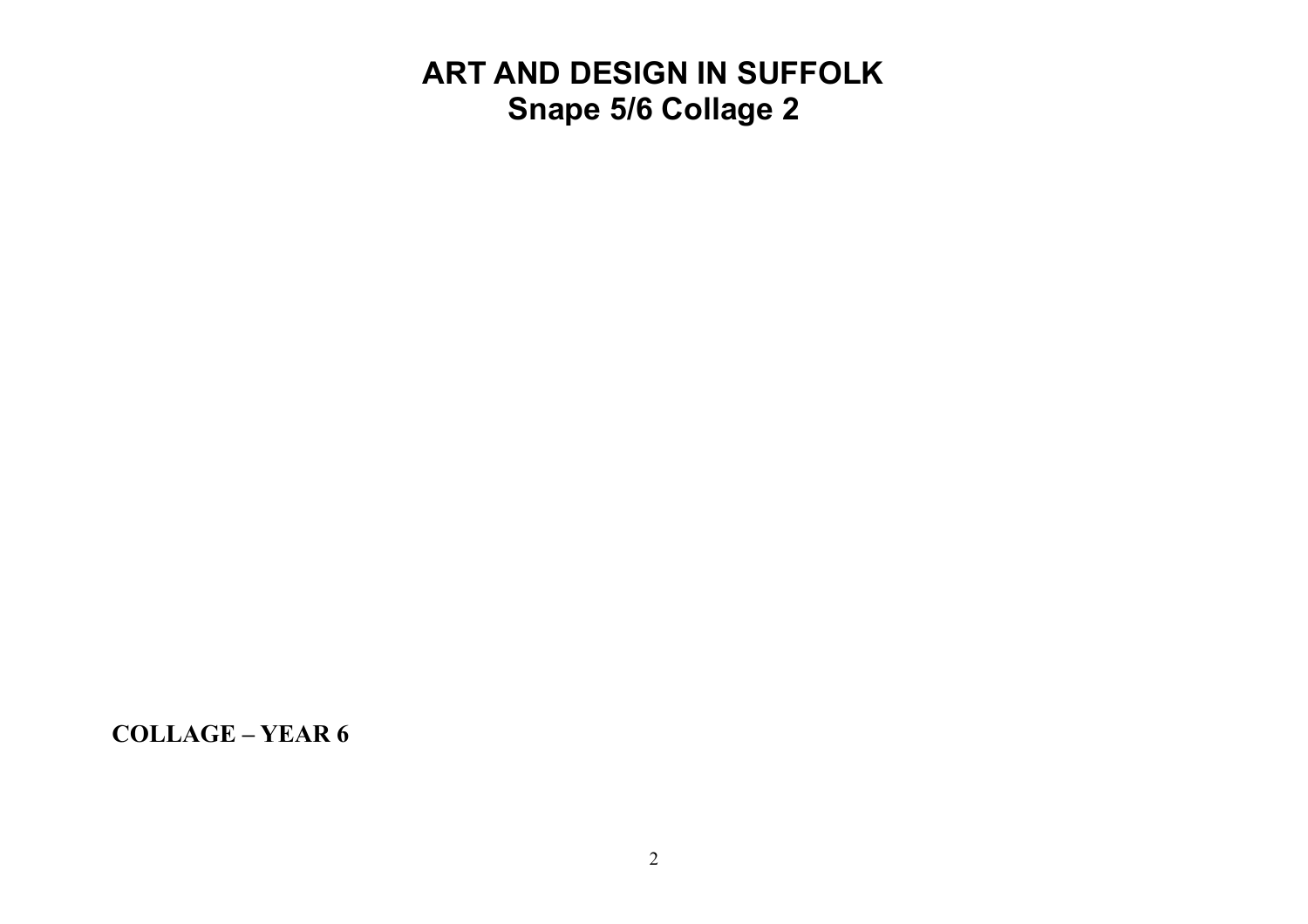**COLLAGE – YEAR 6**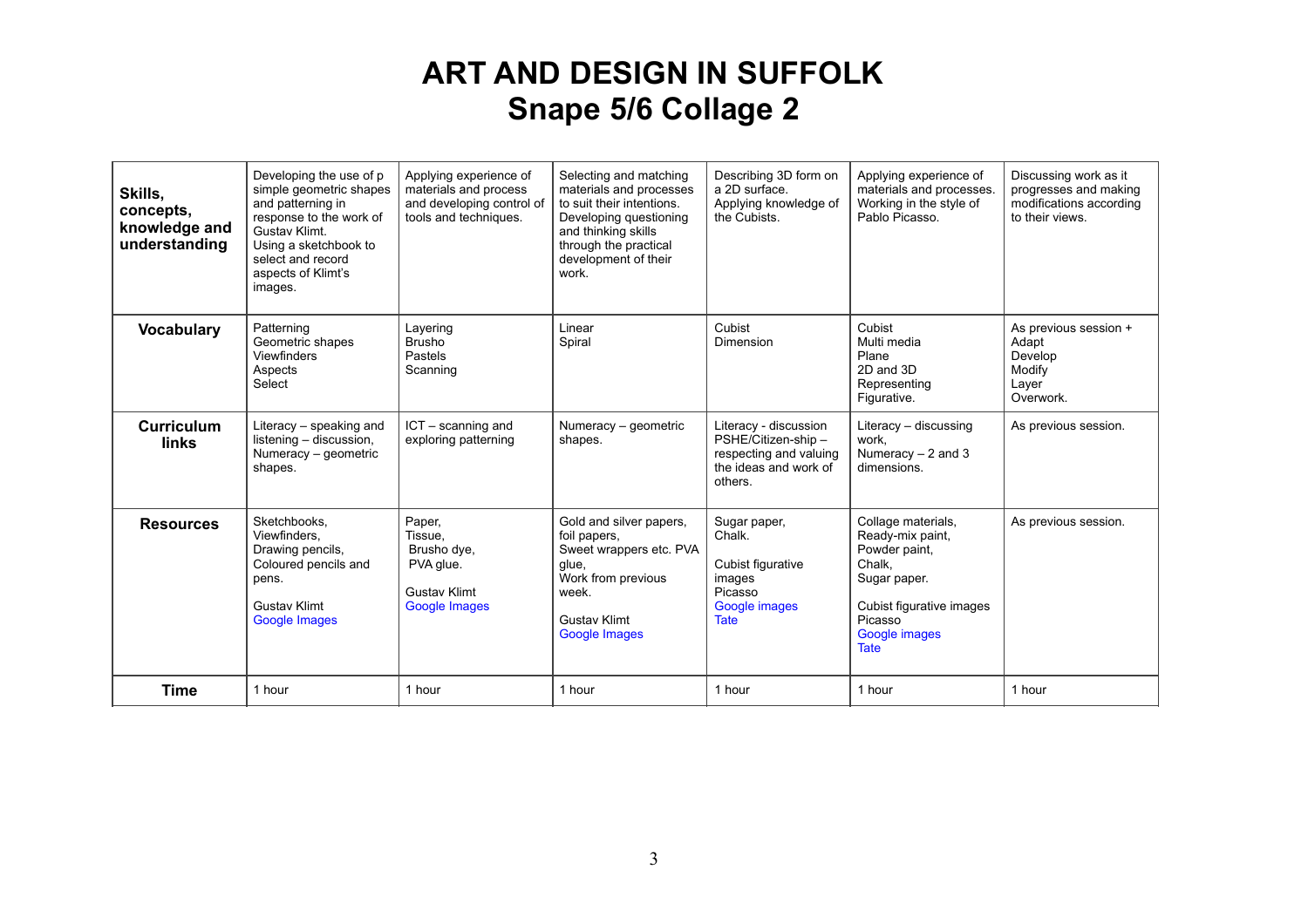| Skills,<br>concepts,<br>knowledge and<br>understanding | Developing the use of p<br>simple geometric shapes<br>and patterning in<br>response to the work of<br>Gustav Klimt.<br>Using a sketchbook to<br>select and record<br>aspects of Klimt's<br>images. | Applying experience of<br>materials and process<br>and developing control of<br>tools and techniques. | Selecting and matching<br>materials and processes<br>to suit their intentions.<br>Developing questioning<br>and thinking skills<br>through the practical<br>development of their<br>work. | Describing 3D form on<br>a 2D surface.<br>Applying knowledge of<br>the Cubists.                            | Applying experience of<br>materials and processes.<br>Working in the style of<br>Pablo Picasso.                                                                 | Discussing work as it<br>progresses and making<br>modifications according<br>to their views. |
|--------------------------------------------------------|----------------------------------------------------------------------------------------------------------------------------------------------------------------------------------------------------|-------------------------------------------------------------------------------------------------------|-------------------------------------------------------------------------------------------------------------------------------------------------------------------------------------------|------------------------------------------------------------------------------------------------------------|-----------------------------------------------------------------------------------------------------------------------------------------------------------------|----------------------------------------------------------------------------------------------|
| <b>Vocabulary</b>                                      | Patterning<br>Geometric shapes<br><b>Viewfinders</b><br>Aspects<br>Select                                                                                                                          | Layering<br><b>Brusho</b><br>Pastels<br>Scanning                                                      | Linear<br>Spiral                                                                                                                                                                          | Cubist<br><b>Dimension</b>                                                                                 | Cubist<br>Multi media<br>Plane<br>2D and 3D<br>Representing<br>Figurative.                                                                                      | As previous session +<br>Adapt<br>Develop<br>Modify<br>Layer<br>Overwork.                    |
| <b>Curriculum</b><br>links                             | Literacy - speaking and<br>listening - discussion,<br>Numeracy - geometric<br>shapes.                                                                                                              | ICT - scanning and<br>exploring patterning                                                            | Numeracy - geometric<br>shapes.                                                                                                                                                           | Literacy - discussion<br>PSHE/Citizen-ship -<br>respecting and valuing<br>the ideas and work of<br>others. | Literacy - discussing<br>work.<br>Numeracy $-2$ and 3<br>dimensions.                                                                                            | As previous session.                                                                         |
| <b>Resources</b>                                       | Sketchbooks.<br>Viewfinders.<br>Drawing pencils,<br>Coloured pencils and<br>pens.<br><b>Gustav Klimt</b><br>Google Images                                                                          | Paper,<br>Tissue,<br>Brusho dye,<br>PVA glue.<br><b>Gustav Klimt</b><br>Google Images                 | Gold and silver papers,<br>foil papers,<br>Sweet wrappers etc. PVA<br>glue,<br>Work from previous<br>week.<br><b>Gustav Klimt</b><br>Google Images                                        | Sugar paper,<br>Chalk.<br>Cubist figurative<br>images<br>Picasso<br>Google images<br><b>Tate</b>           | Collage materials,<br>Ready-mix paint,<br>Powder paint,<br>Chalk.<br>Sugar paper.<br>Cubist figurative images<br>Picasso<br><b>Google images</b><br><b>Tate</b> | As previous session.                                                                         |
| Time                                                   | 1 hour                                                                                                                                                                                             | 1 hour                                                                                                | 1 hour                                                                                                                                                                                    | 1 hour                                                                                                     | 1 hour                                                                                                                                                          | 1 hour                                                                                       |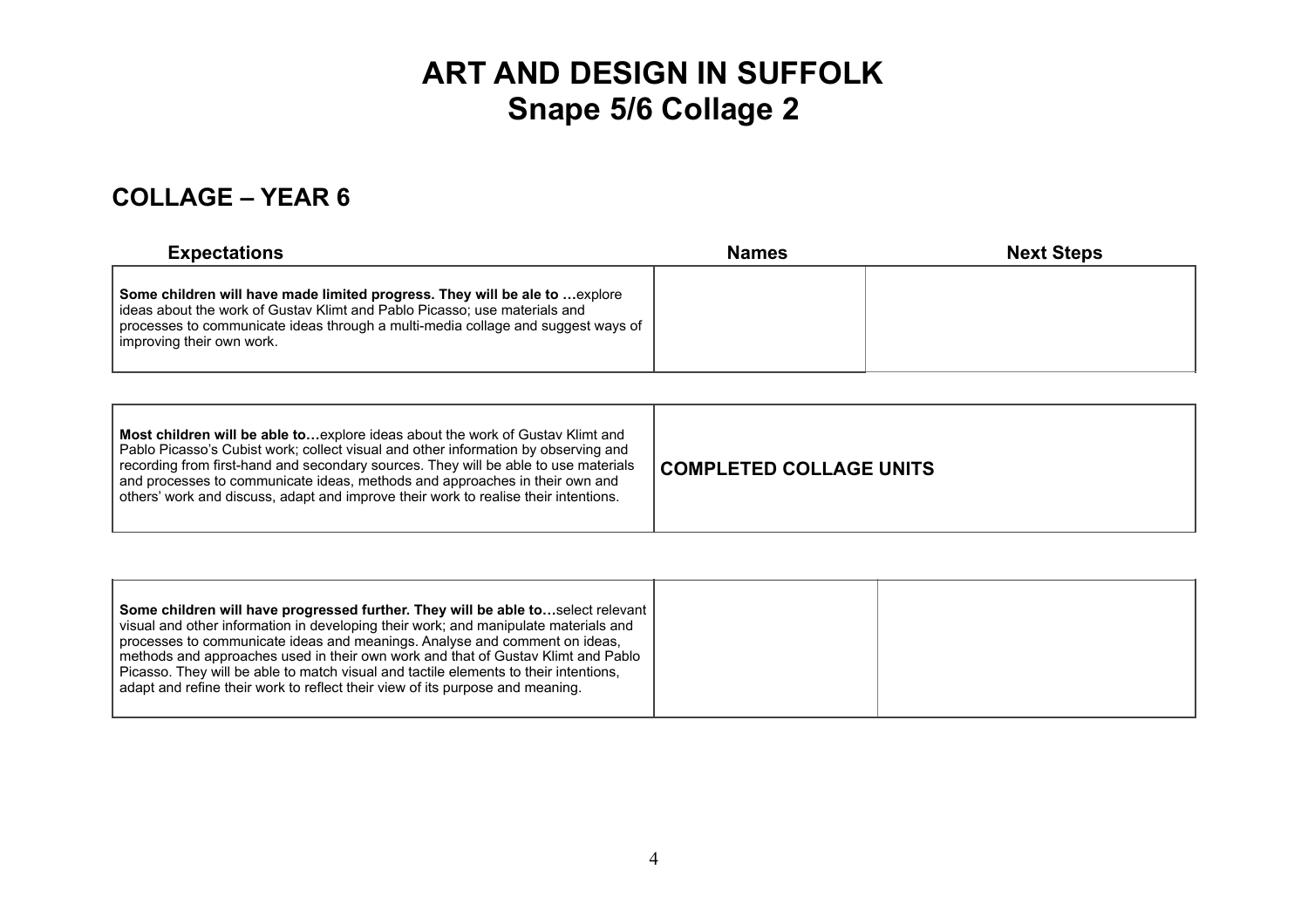#### **COLLAGE – YEAR 6**

| <b>Expectations</b>                                                                                                                                                                                                                                                       | <b>Names</b> | <b>Next Steps</b> |
|---------------------------------------------------------------------------------------------------------------------------------------------------------------------------------------------------------------------------------------------------------------------------|--------------|-------------------|
| Some children will have made limited progress. They will be ale to  explore<br>ideas about the work of Gustav Klimt and Pablo Picasso; use materials and<br>processes to communicate ideas through a multi-media collage and suggest ways of<br>improving their own work. |              |                   |

| Most children will be able toexplore ideas about the work of Gustav Klimt and<br>Pablo Picasso's Cubist work; collect visual and other information by observing and<br>recording from first-hand and secondary sources. They will be able to use materials<br>and processes to communicate ideas, methods and approaches in their own and<br>others' work and discuss, adapt and improve their work to realise their intentions. | COMPLETED COLLAGE UNITS |
|----------------------------------------------------------------------------------------------------------------------------------------------------------------------------------------------------------------------------------------------------------------------------------------------------------------------------------------------------------------------------------------------------------------------------------|-------------------------|
|----------------------------------------------------------------------------------------------------------------------------------------------------------------------------------------------------------------------------------------------------------------------------------------------------------------------------------------------------------------------------------------------------------------------------------|-------------------------|

| Some children will have progressed further. They will be able toselect relevant<br>visual and other information in developing their work; and manipulate materials and<br>processes to communicate ideas and meanings. Analyse and comment on ideas,<br>methods and approaches used in their own work and that of Gustav Klimt and Pablo<br>Picasso. They will be able to match visual and tactile elements to their intentions.<br>adapt and refine their work to reflect their view of its purpose and meaning. |  |
|-------------------------------------------------------------------------------------------------------------------------------------------------------------------------------------------------------------------------------------------------------------------------------------------------------------------------------------------------------------------------------------------------------------------------------------------------------------------------------------------------------------------|--|
|-------------------------------------------------------------------------------------------------------------------------------------------------------------------------------------------------------------------------------------------------------------------------------------------------------------------------------------------------------------------------------------------------------------------------------------------------------------------------------------------------------------------|--|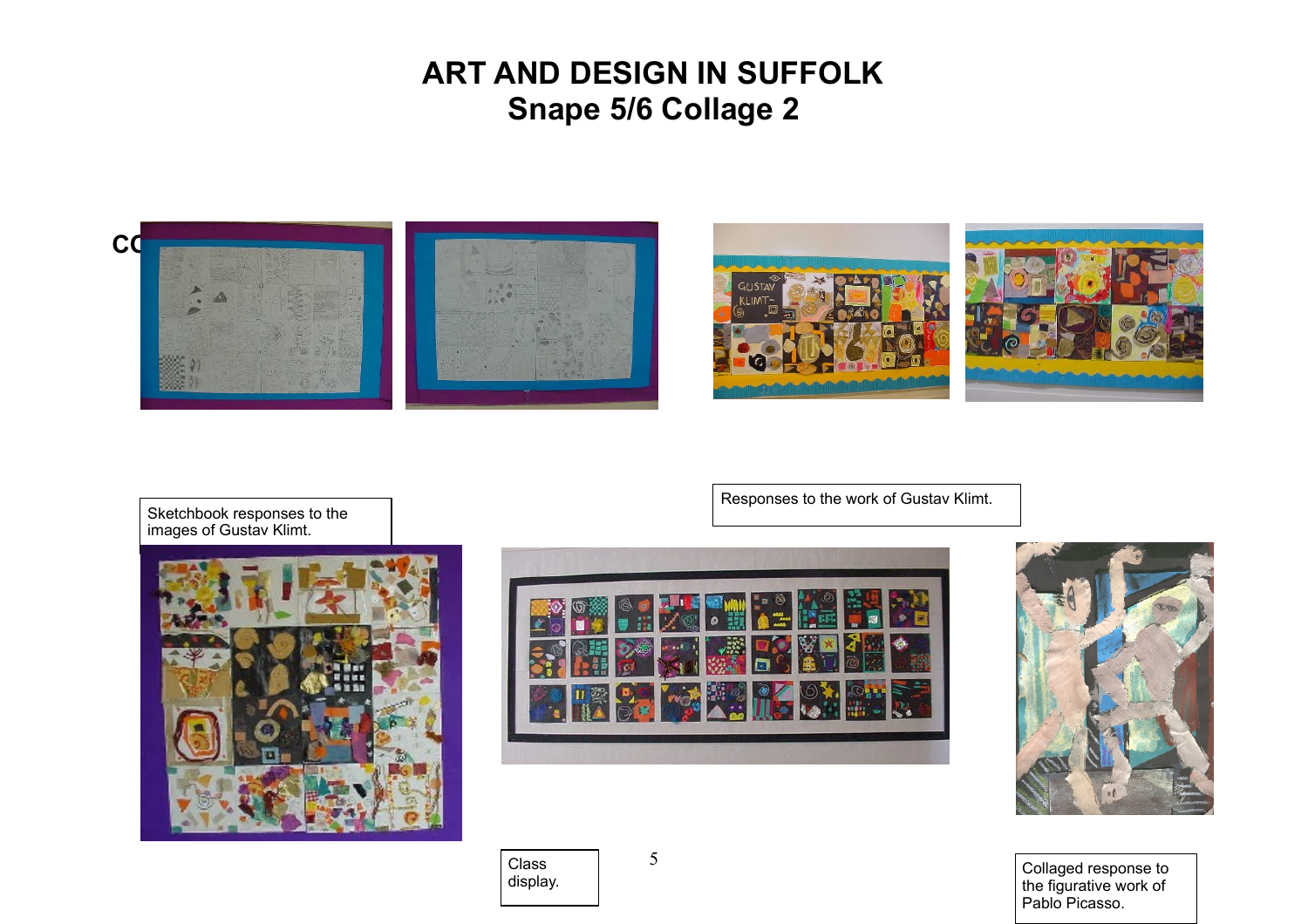



Responses to the work of Gustav Klimt.

Sketchbook responses to the images of Gustav Klimt.





display. Collaged response to the figurative work of Pablo Picasso.

Class<br>display.

5